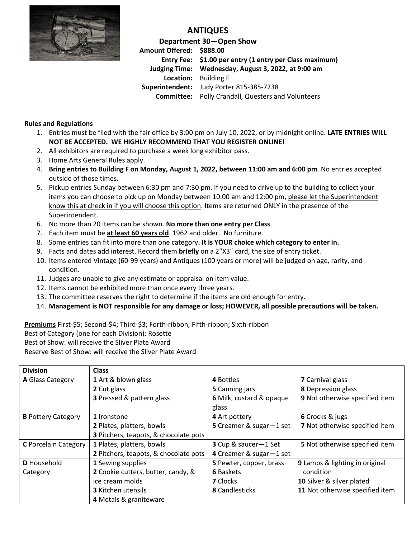

## **ANTIQUES**

**Department 30—Open Show Amount Offered: \$888.00 Entry Fee: \$1.00 per entry (1 entry per Class maximum) Judging Time: Wednesday, August 3, 2022, at 9:00 am Location:** Building F **Superintendent:** Judy Porter 815-385-7238 **Committee:** Polly Crandall, Questers and Volunteers

## **Rules and Regulations**

- 1. Entries must be filed with the fair office by 3:00 pm on July 10, 2022, or by midnight online. **LATE ENTRIES WILL NOT BE ACCEPTED. WE HIGHLY RECOMMEND THAT YOU REGISTER ONLINE!**
- 2. All exhibitors are required to purchase a week long exhibitor pass.
- 3. Home Arts General Rules apply.
- 4. **Bring entries to Building F on Monday, August 1, 2022, between 11:00 am and 6:00 pm**. No entries accepted outside of those times.
- 5. Pickup entries Sunday between 6:30 pm and 7:30 pm. If you need to drive up to the building to collect your items you can choose to pick up on Monday between 10:00 am and 12:00 pm, please let the Superintendent know this at check in if you will choose this option. Items are returned ONLY in the presence of the Superintendent.
- 6. No more than 20 items can be shown. **No more than one entry per Class**.
- 7. Each item must be **at least 60 years old**. 1962 and older. No furniture.
- 8. Some entries can fit into more than one category**. It is YOUR choice which category to enter in.**
- 9. Facts and dates add interest. Record them **briefly** on a 2"X3" card, the size of entry ticket.
- 10. Items entered Vintage (60-99 years) and Antiques (100 years or more) will be judged on age, rarity, and condition.
- 11. Judges are unable to give any estimate or appraisal on item value.
- 12. Items cannot be exhibited more than once every three years.
- 13. The committee reserves the right to determine if the items are old enough for entry.
- 14. **Management is NOT responsible for any damage or loss; HOWEVER, all possible precautions will be taken.**

**Premiums** First-\$5; Second-\$4; Third-\$3; Forth-ribbon; Fifth-ribbon; Sixth-ribbon

Best of Category (one for each Division): Rosette

Best of Show: will receive the Sliver Plate Award

Reserve Best of Show: will receive the Sliver Plate Award

| <b>Division</b>             | <b>Class</b>                          |                                                           |                                 |  |
|-----------------------------|---------------------------------------|-----------------------------------------------------------|---------------------------------|--|
| A Glass Category            | 1 Art & blown glass                   | 4 Bottles                                                 | 7 Carnival glass                |  |
|                             | 2 Cut glass                           |                                                           | 8 Depression glass              |  |
|                             | 3 Pressed & pattern glass             | 6 Milk, custard & opaque<br>glass                         | 9 Not otherwise specified item  |  |
| <b>B</b> Pottery Category   | 1 Ironstone                           | 4 Art pottery                                             | 6 Crocks & jugs                 |  |
|                             | 2 Plates, platters, bowls             | 5 Creamer & sugar-1 set                                   | 7 Not otherwise specified item  |  |
|                             | 3 Pitchers, teapots, & chocolate pots |                                                           |                                 |  |
| <b>C</b> Porcelain Category | 1 Plates, platters, bowls             | 3 Cup & saucer-1 Set                                      | 5 Not otherwise specified item  |  |
|                             | 2 Pitchers, teapots, & chocolate pots | 4 Creamer & sugar-1 set                                   |                                 |  |
| D Household                 | 1 Sewing supplies                     | 9 Lamps & lighting in original<br>5 Pewter, copper, brass |                                 |  |
| Category                    | 2 Cookie cutters, butter, candy, &    | <b>6 Baskets</b>                                          | condition                       |  |
|                             | ice cream molds                       | <b>7</b> Clocks                                           | 10 Silver & silver plated       |  |
|                             | <b>3</b> Kitchen utensils             | <b>8</b> Candlesticks                                     | 11 Not otherwise specified item |  |
|                             | 4 Metals & graniteware                |                                                           |                                 |  |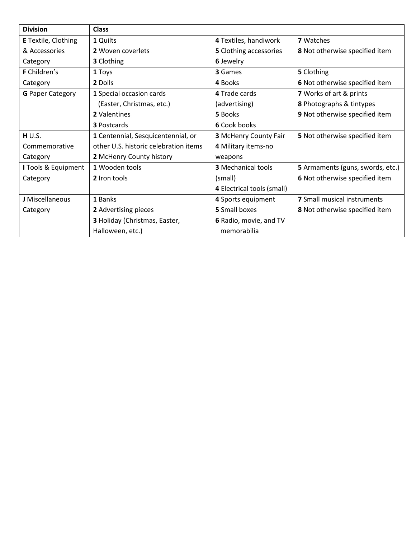| <b>Division</b>            | <b>Class</b>                          |                                                          |                                    |  |  |
|----------------------------|---------------------------------------|----------------------------------------------------------|------------------------------------|--|--|
| <b>E</b> Textile, Clothing | 1 Quilts                              | 4 Textiles, handiwork<br><b>7</b> Watches                |                                    |  |  |
| & Accessories              | 2 Woven coverlets                     | 5 Clothing accessories<br>8 Not otherwise specified item |                                    |  |  |
| Category                   | <b>3</b> Clothing                     | 6 Jewelry                                                |                                    |  |  |
| F Children's               | 1 Toys                                | 3 Games                                                  | 5 Clothing                         |  |  |
| Category                   | 2 Dolls                               | 4 Books                                                  | 6 Not otherwise specified item     |  |  |
| <b>G</b> Paper Category    | 1 Special occasion cards              | 4 Trade cards                                            | 7 Works of art & prints            |  |  |
|                            | (Easter, Christmas, etc.)             | (advertising)                                            | 8 Photographs & tintypes           |  |  |
|                            | 2 Valentines                          | 5 Books                                                  | 9 Not otherwise specified item     |  |  |
|                            | <b>3 Postcards</b>                    | 6 Cook books                                             |                                    |  |  |
| H U.S.                     | 1 Centennial, Sesquicentennial, or    | <b>3 McHenry County Fair</b>                             | 5 Not otherwise specified item     |  |  |
| Commemorative              | other U.S. historic celebration items | 4 Military items-no                                      |                                    |  |  |
| Category                   | 2 McHenry County history              | weapons                                                  |                                    |  |  |
| I Tools & Equipment        | 1 Wooden tools                        | <b>3</b> Mechanical tools                                | 5 Armaments (guns, swords, etc.)   |  |  |
| Category                   | 2 Iron tools                          | 6 Not otherwise specified item<br>(small)                |                                    |  |  |
|                            |                                       | 4 Electrical tools (small)                               |                                    |  |  |
| J Miscellaneous            | 1 Banks                               | 4 Sports equipment                                       | <b>7</b> Small musical instruments |  |  |
| Category                   | 2 Advertising pieces                  | 5 Small boxes<br>8 Not otherwise specified item          |                                    |  |  |
|                            | 3 Holiday (Christmas, Easter,         | 6 Radio, movie, and TV                                   |                                    |  |  |
|                            | Halloween, etc.)                      | memorabilia                                              |                                    |  |  |